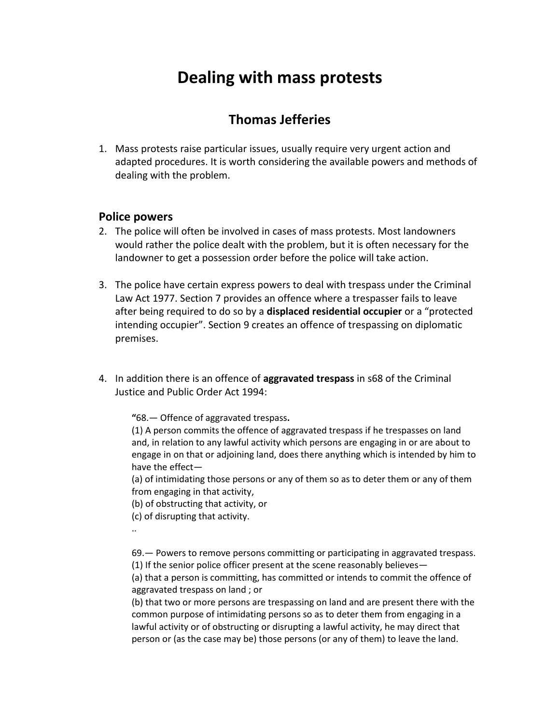# **Dealing with mass protests**

# **Thomas Jefferies**

1. Mass protests raise particular issues, usually require very urgent action and adapted procedures. It is worth considering the available powers and methods of dealing with the problem.

# **Police powers**

- 2. The police will often be involved in cases of mass protests. Most landowners would rather the police dealt with the problem, but it is often necessary for the landowner to get a possession order before the police will take action.
- 3. The police have certain express powers to deal with trespass under the Criminal Law Act 1977. Section 7 provides an offence where a trespasser fails to leave after being required to do so by a **displaced residential occupier** or a "protected intending occupier". Section 9 creates an offence of trespassing on diplomatic premises.
- 4. In addition there is an offence of **aggravated trespass** in s68 of the Criminal Justice and Public Order Act 1994:

**"**68.— Offence of aggravated trespass**.**

(1) A person commits the offence of aggravated trespass if he trespasses on land and, in relation to any lawful activity which persons are engaging in or are about to engage in on that or adjoining land, does there anything which is intended by him to have the effect—

(a) of intimidating those persons or any of them so as to deter them or any of them from engaging in that activity,

(b) of obstructing that activity, or

(c) of disrupting that activity.

..

69.— Powers to remove persons committing or participating in aggravated trespass.

(1) If the senior police officer present at the scene reasonably believes—

(a) that a person is committing, has committed or intends to commit the offence of aggravated trespass on land ; or

(b) that two or more persons are trespassing on land and are present there with the common purpose of intimidating persons so as to deter them from engaging in a lawful activity or of obstructing or disrupting a lawful activity, he may direct that person or (as the case may be) those persons (or any of them) to leave the land.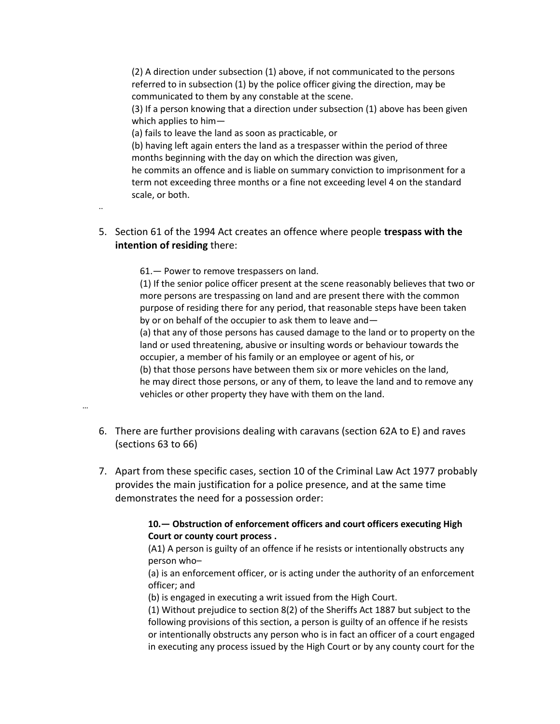(2) A direction under subsection (1) above, if not communicated to the persons referred to in subsection (1) by the police officer giving the direction, may be communicated to them by any constable at the scene.

(3) If a person knowing that a direction under subsection (1) above has been given which applies to him—

(a) fails to leave the land as soon as practicable, or

(b) having left again enters the land as a trespasser within the period of three months beginning with the day on which the direction was given,

he commits an offence and is liable on summary conviction to imprisonment for a term not exceeding three months or a fine not exceeding level 4 on the standard scale, or both.

5. Section 61 of the 1994 Act creates an offence where people **trespass with the intention of residing** there:

61.— Power to remove trespassers on land.

(1) If the senior police officer present at the scene reasonably believes that two or more persons are trespassing on land and are present there with the common purpose of residing there for any period, that reasonable steps have been taken by or on behalf of the occupier to ask them to leave and—

(a) that any of those persons has caused damage to the land or to property on the land or used threatening, abusive or insulting words or behaviour towards the occupier, a member of his family or an employee or agent of his, or (b) that those persons have between them six or more vehicles on the land,

he may direct those persons, or any of them, to leave the land and to remove any vehicles or other property they have with them on the land.

…

..

6. There are further provisions dealing with caravans (section 62A to E) and raves (sections 63 to 66)

7. Apart from these specific cases, section 10 of the Criminal Law Act 1977 probably provides the main justification for a police presence, and at the same time demonstrates the need for a possession order:

#### **10.— Obstruction of enforcement officers and court officers executing High Court or county court process .**

(A1) A person is guilty of an offence if he resists or intentionally obstructs any person who–

(a) is an enforcement officer, or is acting under the authority of an enforcement officer; and

(b) is engaged in executing a writ issued from the High Court.

(1) Without prejudice t[o section 8\(2\)](http://login.westlaw.co.uk/maf/wluk/app/document?src=doc&linktype=ref&&context=41&crumb-action=replace&docguid=I207D6D01E44811DA8D70A0E70A78ED65) of th[e Sheriffs Act 1887](http://login.westlaw.co.uk/maf/wluk/app/document?src=doc&linktype=ref&&context=41&crumb-action=replace&docguid=I60F26EA0E42311DAA7CF8F68F6EE57AB) but subject to the following provisions of this section, a person is guilty of an offence if he resists or intentionally obstructs any person who is in fact an officer of a court engaged in executing any process issued by the High Court or by any county court for the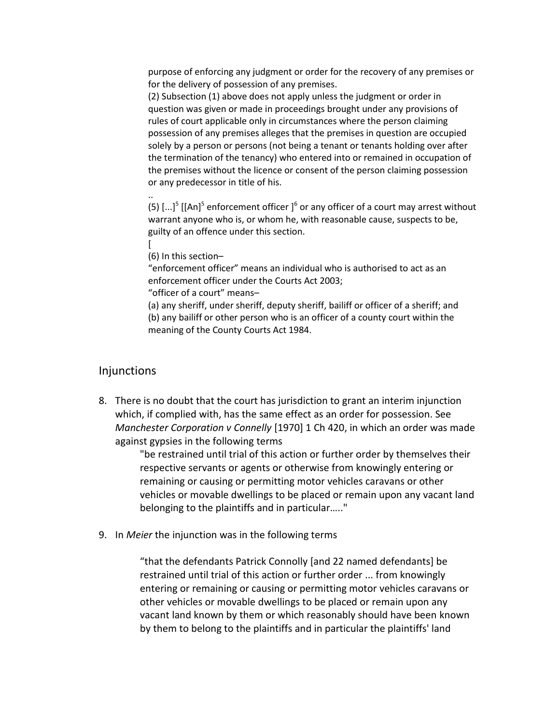purpose of enforcing any judgment or order for the recovery of any premises or for the delivery of possession of any premises.

(2) Subsection (1) above does not apply unless the judgment or order in question was given or made in proceedings brought under any provisions of rules of court applicable only in circumstances where the person claiming possession of any premises alleges that the premises in question are occupied solely by a person or persons (not being a tenant or tenants holding over after the termination of the tenancy) who entered into or remained in occupation of the premises without the licence or consent of the person claiming possession or any predecessor in title of his.

([5](http://login.westlaw.co.uk/maf/wluk/app/document?src=doc&linktype=ref&&context=37&crumb-action=replace&docguid=IA012E7B1E44911DA8D70A0E70A78ED65#targetfn5#targetfn5))  $\left[...\right]$  $\left[...\right]$ <sup>5</sup> [[An]<sup>5</sup> enforcement officer ]<sup>6</sup> or any officer of a court may arrest without warrant anyone who is, or whom he, with reasonable cause, suspects to be, guilty of an offence under this section.

[ (6) In this section–

..

"enforcement officer" means an individual who is authorised to act as an enforcement officer under th[e Courts Act 2003;](http://login.westlaw.co.uk/maf/wluk/app/document?src=doc&linktype=ref&&context=41&crumb-action=replace&docguid=I5F977280E42311DAA7CF8F68F6EE57AB)

"officer of a court" means–

(a) any sheriff, under sheriff, deputy sheriff, bailiff or officer of a sheriff; and (b) any bailiff or other person who is an officer of a county court within the meaning of th[e County Courts Act 1984.](http://login.westlaw.co.uk/maf/wluk/app/document?src=doc&linktype=ref&&context=41&crumb-action=replace&docguid=I601C32E0E42311DAA7CF8F68F6EE57AB)

#### Injunctions

8. There is no doubt that the court has jurisdiction to grant an interim injunction which, if complied with, has the same effect as an order for possession. See *Manchester Corporation v Connelly* [1970] 1 Ch 420, in which an order was made against gypsies in the following terms

> "be restrained until trial of this action or further order by themselves their respective servants or agents or otherwise from knowingly entering or remaining or causing or permitting motor vehicles caravans or other vehicles or movable dwellings to be placed or remain upon any vacant land belonging to the plaintiffs and in particular….."

9. In *Meier* the injunction was in the following terms

"that the defendants Patrick Connolly [and 22 named defendants] be restrained until trial of this action or further order ... from knowingly entering or remaining or causing or permitting motor vehicles caravans or other vehicles or movable dwellings to be placed or remain upon any vacant land known by them or which reasonably should have been known by them to belong to the plaintiffs and in particular the plaintiffs' land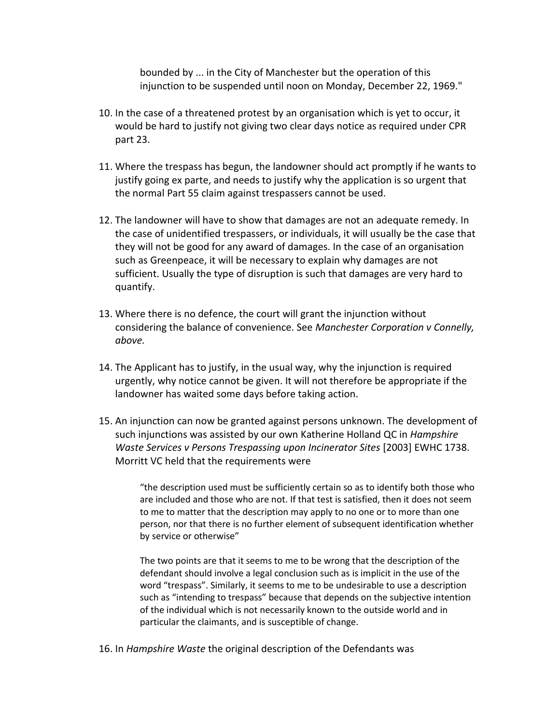bounded by ... in the City of Manchester but the operation of this injunction to be suspended until noon on Monday, December 22, 1969."

- 10. In the case of a threatened protest by an organisation which is yet to occur, it would be hard to justify not giving two clear days notice as required under CPR part 23.
- 11. Where the trespass has begun, the landowner should act promptly if he wants to justify going ex parte, and needs to justify why the application is so urgent that the normal Part 55 claim against trespassers cannot be used.
- 12. The landowner will have to show that damages are not an adequate remedy. In the case of unidentified trespassers, or individuals, it will usually be the case that they will not be good for any award of damages. In the case of an organisation such as Greenpeace, it will be necessary to explain why damages are not sufficient. Usually the type of disruption is such that damages are very hard to quantify.
- 13. Where there is no defence, the court will grant the injunction without considering the balance of convenience. See *Manchester Corporation v Connelly, above.*
- 14. The Applicant has to justify, in the usual way, why the injunction is required urgently, why notice cannot be given. It will not therefore be appropriate if the landowner has waited some days before taking action.
- 15. An injunction can now be granted against persons unknown. The development of such injunctions was assisted by our own Katherine Holland QC in *Hampshire Waste Services v Persons Trespassing upon Incinerator Sites* [2003] EWHC 1738. Morritt VC held that the requirements were

"the description used must be sufficiently certain so as to identify both those who are included and those who are not. If that test is satisfied, then it does not seem to me to matter that the description may apply to no one or to more than one person, nor that there is no further element of subsequent identification whether by service or otherwise"

The two points are that it seems to me to be wrong that the description of the defendant should involve a legal conclusion such as is implicit in the use of the word "trespass". Similarly, it seems to me to be undesirable to use a description such as "intending to trespass" because that depends on the subjective intention of the individual which is not necessarily known to the outside world and in particular the claimants, and is susceptible of change.

16. In *Hampshire Waste* the original description of the Defendants was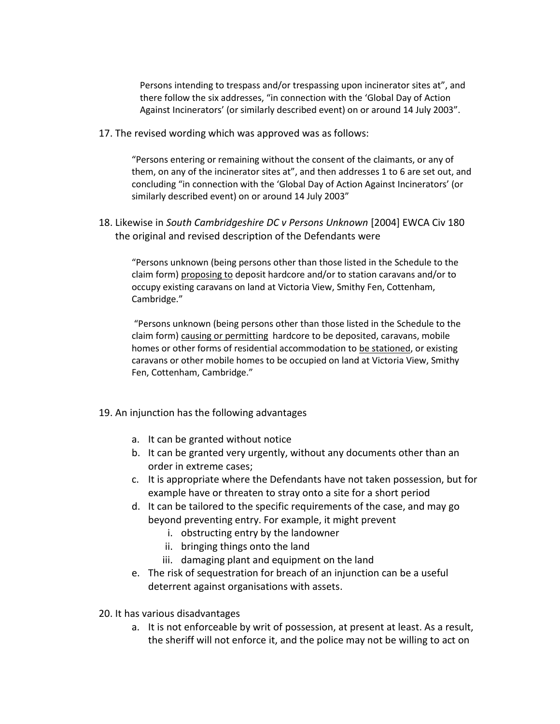Persons intending to trespass and/or trespassing upon incinerator sites at", and there follow the six addresses, "in connection with the 'Global Day of Action Against Incinerators' (or similarly described event) on or around 14 July 2003".

17. The revised wording which was approved was as follows:

"Persons entering or remaining without the consent of the claimants, or any of them, on any of the incinerator sites at", and then addresses 1 to 6 are set out, and concluding "in connection with the 'Global Day of Action Against Incinerators' (or similarly described event) on or around 14 July 2003"

18. Likewise in *South Cambridgeshire DC v Persons Unknown* [2004] EWCA Civ 180 the original and revised description of the Defendants were

"Persons unknown (being persons other than those listed in the Schedule to the claim form) proposing to deposit hardcore and/or to station caravans and/or to occupy existing caravans on land at Victoria View, Smithy Fen, Cottenham, Cambridge."

"Persons unknown (being persons other than those listed in the Schedule to the claim form) causing or permitting hardcore to be deposited, caravans, mobile homes or other forms of residential accommodation to be stationed, or existing caravans or other mobile homes to be occupied on land at Victoria View, Smithy Fen, Cottenham, Cambridge."

- 19. An injunction has the following advantages
	- a. It can be granted without notice
	- b. It can be granted very urgently, without any documents other than an order in extreme cases;
	- c. It is appropriate where the Defendants have not taken possession, but for example have or threaten to stray onto a site for a short period
	- d. It can be tailored to the specific requirements of the case, and may go beyond preventing entry. For example, it might prevent
		- i. obstructing entry by the landowner
		- ii. bringing things onto the land
		- iii. damaging plant and equipment on the land
	- e. The risk of sequestration for breach of an injunction can be a useful deterrent against organisations with assets.
- 20. It has various disadvantages
	- a. It is not enforceable by writ of possession, at present at least. As a result, the sheriff will not enforce it, and the police may not be willing to act on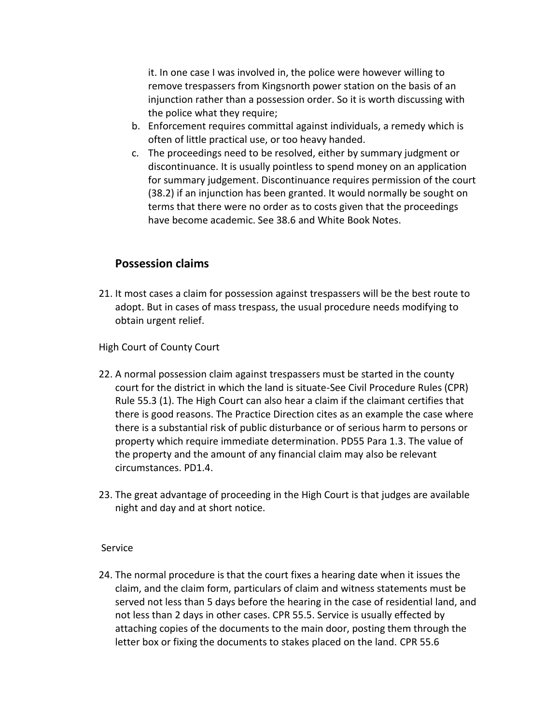it. In one case I was involved in, the police were however willing to remove trespassers from Kingsnorth power station on the basis of an injunction rather than a possession order. So it is worth discussing with the police what they require;

- b. Enforcement requires committal against individuals, a remedy which is often of little practical use, or too heavy handed.
- c. The proceedings need to be resolved, either by summary judgment or discontinuance. It is usually pointless to spend money on an application for summary judgement. Discontinuance requires permission of the court (38.2) if an injunction has been granted. It would normally be sought on terms that there were no order as to costs given that the proceedings have become academic. See 38.6 and White Book Notes.

# **Possession claims**

21. It most cases a claim for possession against trespassers will be the best route to adopt. But in cases of mass trespass, the usual procedure needs modifying to obtain urgent relief.

High Court of County Court

- 22. A normal possession claim against trespassers must be started in the county court for the district in which the land is situate-See Civil Procedure Rules (CPR) Rule 55.3 (1). The High Court can also hear a claim if the claimant certifies that there is good reasons. The Practice Direction cites as an example the case where there is a substantial risk of public disturbance or of serious harm to persons or property which require immediate determination. PD55 Para 1.3. The value of the property and the amount of any financial claim may also be relevant circumstances. PD1.4.
- 23. The great advantage of proceeding in the High Court is that judges are available night and day and at short notice.

# Service

24. The normal procedure is that the court fixes a hearing date when it issues the claim, and the claim form, particulars of claim and witness statements must be served not less than 5 days before the hearing in the case of residential land, and not less than 2 days in other cases. CPR 55.5. Service is usually effected by attaching copies of the documents to the main door, posting them through the letter box or fixing the documents to stakes placed on the land. CPR 55.6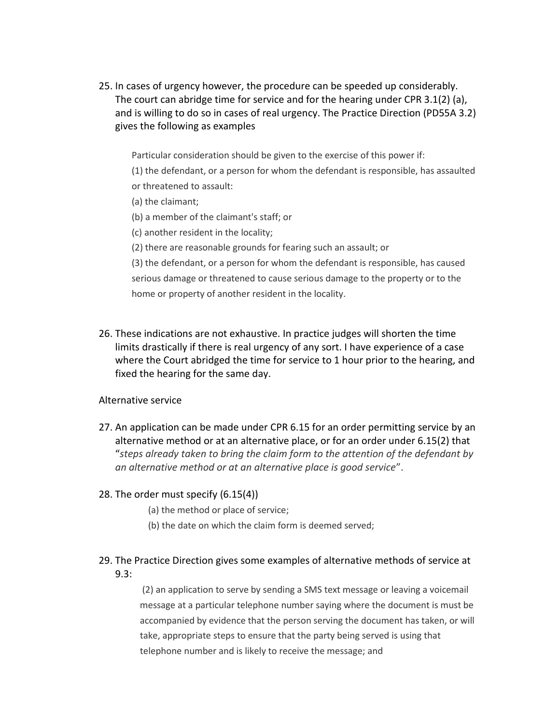25. In cases of urgency however, the procedure can be speeded up considerably. The court can abridge time for service and for the hearing under CPR 3.1(2) (a), and is willing to do so in cases of real urgency. The Practice Direction (PD55A 3.2) gives the following as examples

Particular consideration should be given to the exercise of this power if:

- (1) the defendant, or a person for whom the defendant is responsible, has assaulted or threatened to assault:
- (a) the claimant;
- (b) a member of the claimant's staff; or
- (c) another resident in the locality;
- (2) there are reasonable grounds for fearing such an assault; or

(3) the defendant, or a person for whom the defendant is responsible, has caused serious damage or threatened to cause serious damage to the property or to the home or property of another resident in the locality.

26. These indications are not exhaustive. In practice judges will shorten the time limits drastically if there is real urgency of any sort. I have experience of a case where the Court abridged the time for service to 1 hour prior to the hearing, and fixed the hearing for the same day.

Alternative service

- 27. An application can be made under CPR 6.15 for an order permitting service by an alternative method or at an alternative place, or for an order under 6.15(2) that "*steps already taken to bring the claim form to the attention of the defendant by an alternative method or at an alternative place is good service*".
- 28. The order must specify (6.15(4))

(a) the method or place of service;

(b) the date on which the claim form is deemed served;

# 29. The Practice Direction gives some examples of alternative methods of service at 9.3:

(2) an application to serve by sending a SMS text message or leaving a voicemail message at a particular telephone number saying where the document is must be accompanied by evidence that the person serving the document has taken, or will take, appropriate steps to ensure that the party being served is using that telephone number and is likely to receive the message; and